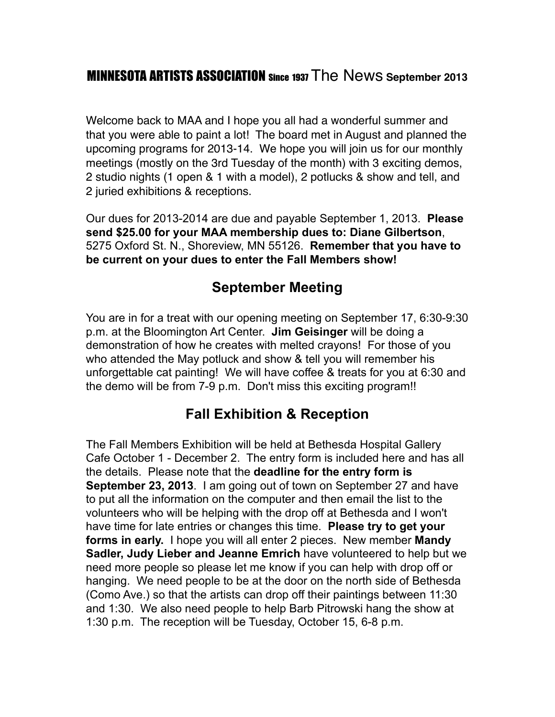## MINNESOTA ARTISTS ASSOCIATION Since 1937 The News **September 2013**

Welcome back to MAA and I hope you all had a wonderful summer and that you were able to paint a lot! The board met in August and planned the upcoming programs for 2013-14. We hope you will join us for our monthly meetings (mostly on the 3rd Tuesday of the month) with 3 exciting demos, 2 studio nights (1 open & 1 with a model), 2 potlucks & show and tell, and 2 juried exhibitions & receptions.

Our dues for 2013-2014 are due and payable September 1, 2013. **Please send \$25.00 for your MAA membership dues to: Diane Gilbertson**, 5275 Oxford St. N., Shoreview, MN 55126. **Remember that you have to be current on your dues to enter the Fall Members show!**

#### **September Meeting**

You are in for a treat with our opening meeting on September 17, 6:30-9:30 p.m. at the Bloomington Art Center. **Jim Geisinger** will be doing a demonstration of how he creates with melted crayons! For those of you who attended the May potluck and show & tell you will remember his unforgettable cat painting! We will have coffee & treats for you at 6:30 and the demo will be from 7-9 p.m. Don't miss this exciting program!!

## **Fall Exhibition & Reception**

The Fall Members Exhibition will be held at Bethesda Hospital Gallery Cafe October 1 - December 2. The entry form is included here and has all the details. Please note that the **deadline for the entry form is September 23, 2013**. I am going out of town on September 27 and have to put all the information on the computer and then email the list to the volunteers who will be helping with the drop off at Bethesda and I won't have time for late entries or changes this time. **Please try to get your forms in early.** I hope you will all enter 2 pieces. New member **Mandy Sadler, Judy Lieber and Jeanne Emrich** have volunteered to help but we need more people so please let me know if you can help with drop off or hanging. We need people to be at the door on the north side of Bethesda (Como Ave.) so that the artists can drop off their paintings between 11:30 and 1:30. We also need people to help Barb Pitrowski hang the show at 1:30 p.m. The reception will be Tuesday, October 15, 6-8 p.m.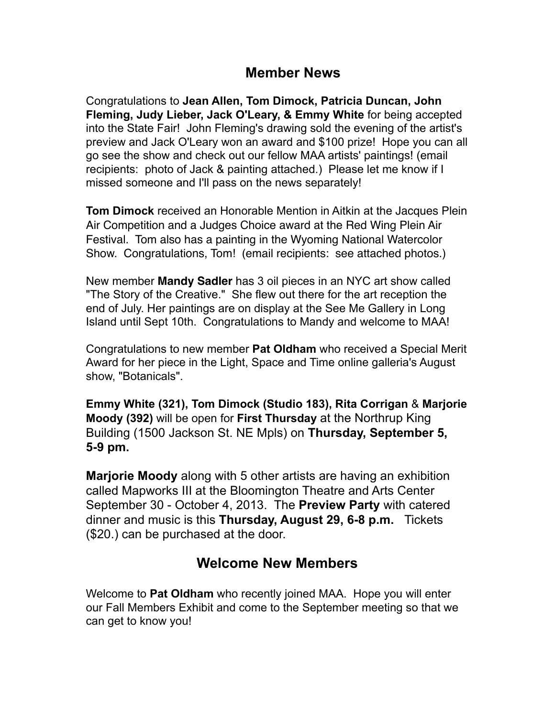#### **Member News**

Congratulations to **Jean Allen, Tom Dimock, Patricia Duncan, John Fleming, Judy Lieber, Jack O'Leary, & Emmy White** for being accepted into the State Fair! John Fleming's drawing sold the evening of the artist's preview and Jack O'Leary won an award and \$100 prize! Hope you can all go see the show and check out our fellow MAA artists' paintings! (email recipients: photo of Jack & painting attached.) Please let me know if I missed someone and I'll pass on the news separately!

**Tom Dimock** received an Honorable Mention in Aitkin at the Jacques Plein Air Competition and a Judges Choice award at the Red Wing Plein Air Festival. Tom also has a painting in the Wyoming National Watercolor Show. Congratulations, Tom! (email recipients: see attached photos.)

New member **Mandy Sadler** has 3 oil pieces in an NYC art show called "The Story of the Creative." She flew out there for the art reception the end of July. Her paintings are on display at the See Me Gallery in Long Island until Sept 10th. Congratulations to Mandy and welcome to MAA!

Congratulations to new member **Pat Oldham** who received a Special Merit Award for her piece in the Light, Space and Time online galleria's August show, "Botanicals".

**Emmy White (321), Tom Dimock (Studio 183), Rita Corrigan** & **Marjorie Moody (392)** will be open for **First Thursday** at the Northrup King Building (1500 Jackson St. NE Mpls) on **Thursday, September 5, 5-9 pm.**

**Marjorie Moody** along with 5 other artists are having an exhibition called Mapworks III at the Bloomington Theatre and Arts Center September 30 - October 4, 2013. The **Preview Party** with catered dinner and music is this **Thursday, August 29, 6-8 p.m.** Tickets (\$20.) can be purchased at the door.

# **Welcome New Members**

Welcome to **Pat Oldham** who recently joined MAA. Hope you will enter our Fall Members Exhibit and come to the September meeting so that we can get to know you!